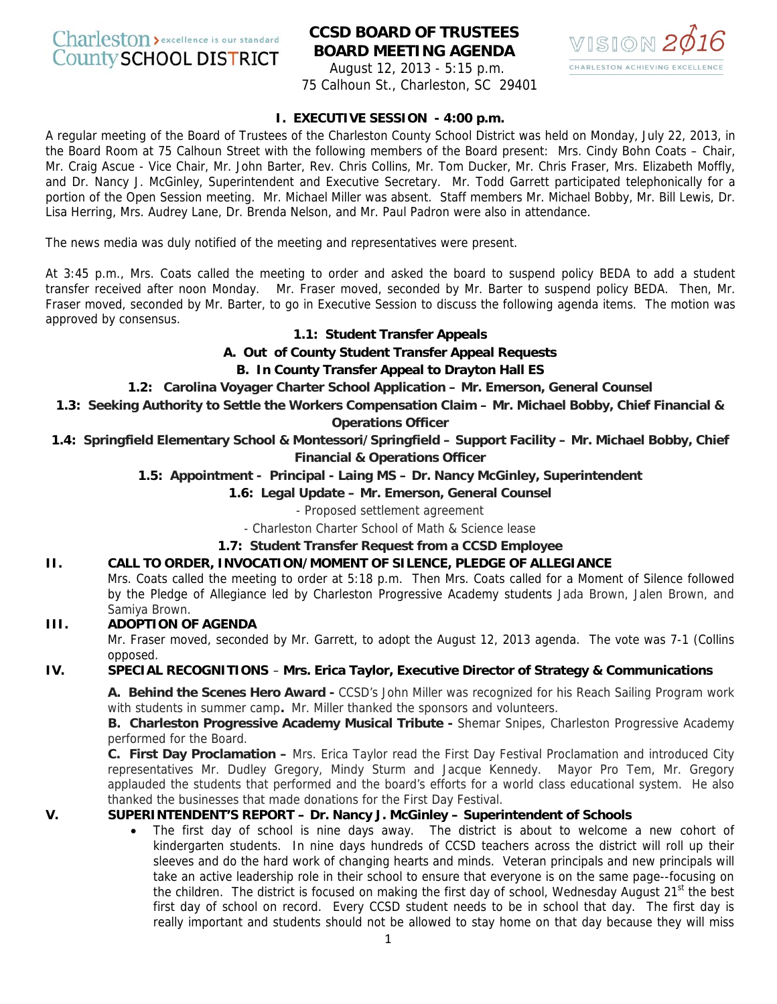# Charleston > excellence is our standard **County SCHOOL DISTRICT**

# **CCSD BOARD OF TRUSTEES BOARD MEETING AGENDA**



August 12, 2013 - 5:15 p.m. 75 Calhoun St., Charleston, SC 29401

# **I. EXECUTIVE SESSION - 4:00 p.m.**

A regular meeting of the Board of Trustees of the Charleston County School District was held on Monday, July 22, 2013, in the Board Room at 75 Calhoun Street with the following members of the Board present: Mrs. Cindy Bohn Coats – Chair, Mr. Craig Ascue - Vice Chair, Mr. John Barter, Rev. Chris Collins, Mr. Tom Ducker, Mr. Chris Fraser, Mrs. Elizabeth Moffly, and Dr. Nancy J. McGinley, Superintendent and Executive Secretary. Mr. Todd Garrett participated telephonically for a portion of the Open Session meeting. Mr. Michael Miller was absent. Staff members Mr. Michael Bobby, Mr. Bill Lewis, Dr. Lisa Herring, Mrs. Audrey Lane, Dr. Brenda Nelson, and Mr. Paul Padron were also in attendance.

The news media was duly notified of the meeting and representatives were present.

At 3:45 p.m., Mrs. Coats called the meeting to order and asked the board to suspend policy BEDA to add a student transfer received after noon Monday. Mr. Fraser moved, seconded by Mr. Barter to suspend policy BEDA. Then, Mr. Fraser moved, seconded by Mr. Barter, to go in Executive Session to discuss the following agenda items. The motion was approved by consensus.

# **1.1: Student Transfer Appeals**

**A. Out of County Student Transfer Appeal Requests** 

# **B. In County Transfer Appeal to Drayton Hall ES**

**1.2: Carolina Voyager Charter School Application – Mr. Emerson, General Counsel** 

**1.3: Seeking Authority to Settle the Workers Compensation Claim – Mr. Michael Bobby, Chief Financial & Operations Officer** 

**1.4: Springfield Elementary School & Montessori/Springfield – Support Facility – Mr. Michael Bobby, Chief Financial & Operations Officer** 

# **1.5: Appointment - Principal - Laing MS – Dr. Nancy McGinley, Superintendent**

# **1.6: Legal Update – Mr. Emerson, General Counsel**

- Proposed settlement agreement

- Charleston Charter School of Math & Science lease

### **1.7: Student Transfer Request from a CCSD Employee**

**II. CALL TO ORDER, INVOCATION/MOMENT OF SILENCE, PLEDGE OF ALLEGIANCE**  Mrs. Coats called the meeting to order at 5:18 p.m. Then Mrs. Coats called for a Moment of Silence followed by the Pledge of Allegiance led by Charleston Progressive Academy students Jada Brown, Jalen Brown, and

#### Samiya Brown. **III. ADOPTION OF AGENDA**

Mr. Fraser moved, seconded by Mr. Garrett, to adopt the August 12, 2013 agenda. The vote was 7-1 (Collins opposed.

### **IV. SPECIAL RECOGNITIONS** – **Mrs. Erica Taylor, Executive Director of Strategy & Communications**

**A. Behind the Scenes Hero Award -** CCSD's John Miller was recognized for his Reach Sailing Program work with students in summer camp**.** Mr. Miller thanked the sponsors and volunteers.

**B. Charleston Progressive Academy Musical Tribute -** Shemar Snipes, Charleston Progressive Academy performed for the Board.

**C. First Day Proclamation –** Mrs. Erica Taylor read the First Day Festival Proclamation and introduced City representatives Mr. Dudley Gregory, Mindy Sturm and Jacque Kennedy. Mayor Pro Tem, Mr. Gregory applauded the students that performed and the board's efforts for a world class educational system. He also thanked the businesses that made donations for the First Day Festival.

# **V. SUPERINTENDENT'S REPORT – Dr. Nancy J. McGinley – Superintendent of Schools**

• The first day of school is nine days away. The district is about to welcome a new cohort of kindergarten students. In nine days hundreds of CCSD teachers across the district will roll up their sleeves and do the hard work of changing hearts and minds. Veteran principals and new principals will take an active leadership role in their school to ensure that everyone is on the same page--focusing on the children. The district is focused on making the first day of school, Wednesday August 21<sup>st</sup> the best first day of school on record. Every CCSD student needs to be in school that day. The first day is really important and students should not be allowed to stay home on that day because they will miss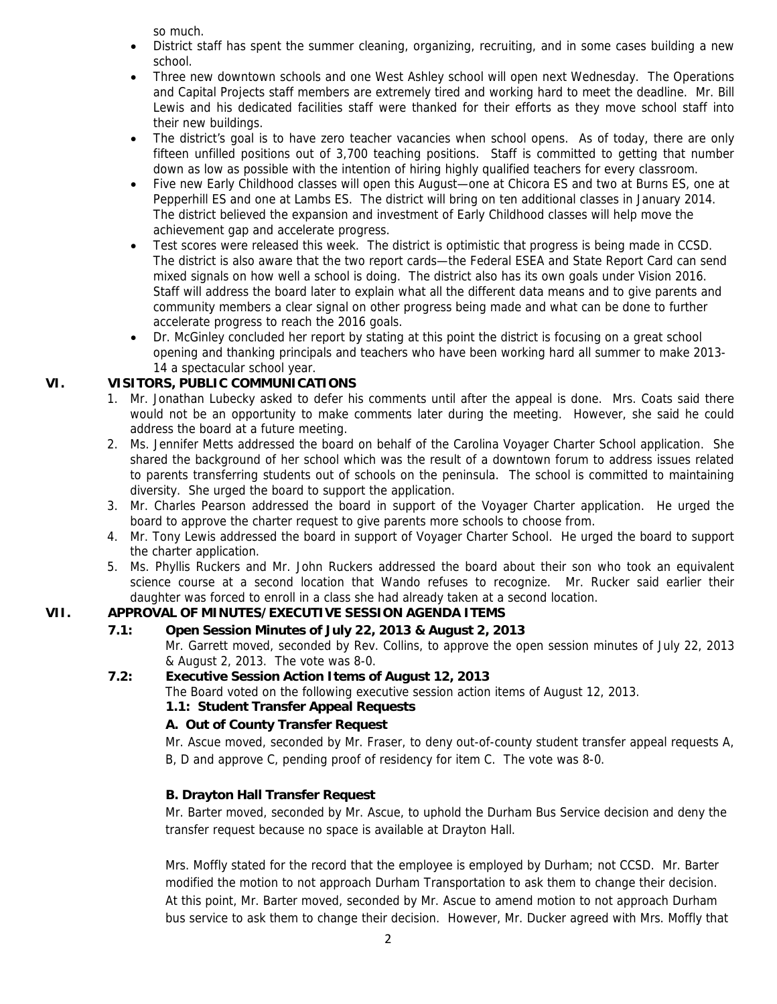so much.

- District staff has spent the summer cleaning, organizing, recruiting, and in some cases building a new school.
- Three new downtown schools and one West Ashley school will open next Wednesday. The Operations and Capital Projects staff members are extremely tired and working hard to meet the deadline. Mr. Bill Lewis and his dedicated facilities staff were thanked for their efforts as they move school staff into their new buildings.
- The district's goal is to have zero teacher vacancies when school opens. As of today, there are only fifteen unfilled positions out of 3,700 teaching positions. Staff is committed to getting that number down as low as possible with the intention of hiring highly qualified teachers for every classroom.
- Five new Early Childhood classes will open this August—one at Chicora ES and two at Burns ES, one at Pepperhill ES and one at Lambs ES. The district will bring on ten additional classes in January 2014. The district believed the expansion and investment of Early Childhood classes will help move the achievement gap and accelerate progress.
- Test scores were released this week. The district is optimistic that progress is being made in CCSD. The district is also aware that the two report cards—the Federal ESEA and State Report Card can send mixed signals on how well a school is doing. The district also has its own goals under Vision 2016. Staff will address the board later to explain what all the different data means and to give parents and community members a clear signal on other progress being made and what can be done to further accelerate progress to reach the 2016 goals.
- Dr. McGinley concluded her report by stating at this point the district is focusing on a great school opening and thanking principals and teachers who have been working hard all summer to make 2013- 14 a spectacular school year.

# **VI. VISITORS, PUBLIC COMMUNICATIONS**

- 1. Mr. Jonathan Lubecky asked to defer his comments until after the appeal is done. Mrs. Coats said there would not be an opportunity to make comments later during the meeting. However, she said he could address the board at a future meeting.
- 2. Ms. Jennifer Metts addressed the board on behalf of the Carolina Voyager Charter School application. She shared the background of her school which was the result of a downtown forum to address issues related to parents transferring students out of schools on the peninsula. The school is committed to maintaining diversity. She urged the board to support the application.
- 3. Mr. Charles Pearson addressed the board in support of the Voyager Charter application. He urged the board to approve the charter request to give parents more schools to choose from.
- 4. Mr. Tony Lewis addressed the board in support of Voyager Charter School. He urged the board to support the charter application.
- 5. Ms. Phyllis Ruckers and Mr. John Ruckers addressed the board about their son who took an equivalent science course at a second location that Wando refuses to recognize. Mr. Rucker said earlier their daughter was forced to enroll in a class she had already taken at a second location.

# **VII. APPROVAL OF MINUTES/EXECUTIVE SESSION AGENDA ITEMS**

# **7.1: Open Session Minutes of July 22, 2013 & August 2, 2013**

Mr. Garrett moved, seconded by Rev. Collins, to approve the open session minutes of July 22, 2013 & August 2, 2013. The vote was 8-0.

# **7.2: Executive Session Action Items of August 12, 2013**

The Board voted on the following executive session action items of August 12, 2013.

 **1.1: Student Transfer Appeal Requests** 

# **A. Out of County Transfer Request**

Mr. Ascue moved, seconded by Mr. Fraser, to deny out-of-county student transfer appeal requests A, B, D and approve C, pending proof of residency for item C. The vote was 8-0.

# **B. Drayton Hall Transfer Request**

Mr. Barter moved, seconded by Mr. Ascue, to uphold the Durham Bus Service decision and deny the transfer request because no space is available at Drayton Hall.

Mrs. Moffly stated for the record that the employee is employed by Durham; not CCSD. Mr. Barter modified the motion to not approach Durham Transportation to ask them to change their decision. At this point, Mr. Barter moved, seconded by Mr. Ascue to amend motion to not approach Durham bus service to ask them to change their decision. However, Mr. Ducker agreed with Mrs. Moffly that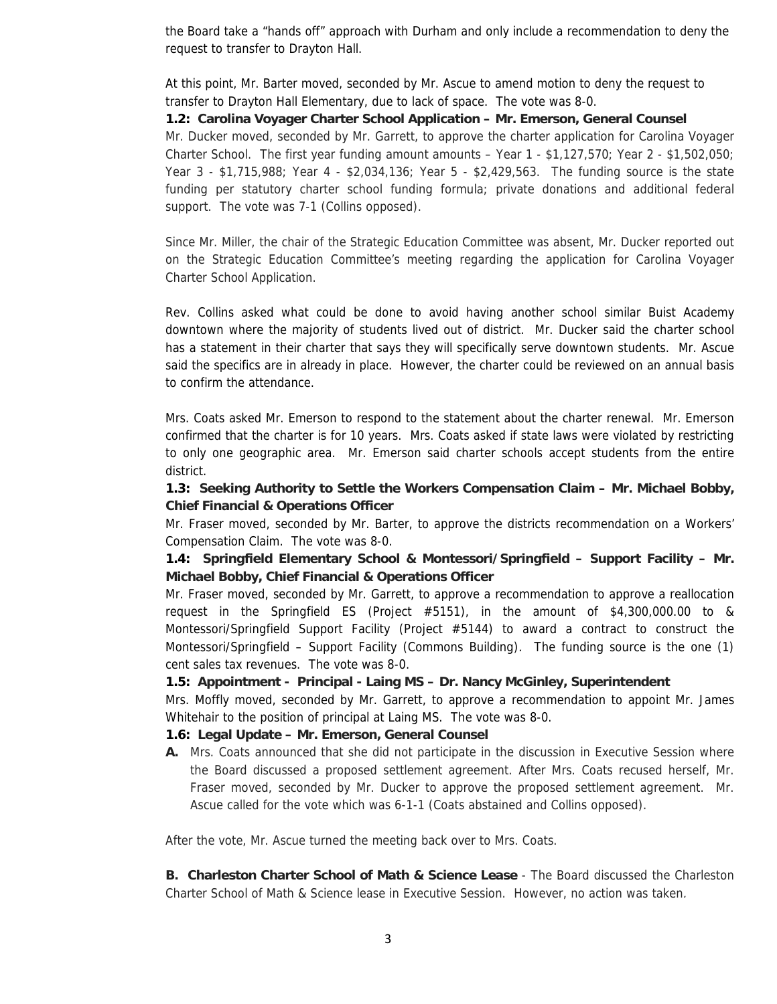the Board take a "hands off" approach with Durham and only include a recommendation to deny the request to transfer to Drayton Hall.

At this point, Mr. Barter moved, seconded by Mr. Ascue to amend motion to deny the request to transfer to Drayton Hall Elementary, due to lack of space. The vote was 8-0.

#### **1.2: Carolina Voyager Charter School Application – Mr. Emerson, General Counsel**

Mr. Ducker moved, seconded by Mr. Garrett, to approve the charter application for Carolina Voyager Charter School. The first year funding amount amounts – Year 1 - \$1,127,570; Year 2 - \$1,502,050; Year 3 - \$1,715,988; Year 4 - \$2,034,136; Year 5 - \$2,429,563. The funding source is the state funding per statutory charter school funding formula; private donations and additional federal support. The vote was 7-1 (Collins opposed).

Since Mr. Miller, the chair of the Strategic Education Committee was absent, Mr. Ducker reported out on the Strategic Education Committee's meeting regarding the application for Carolina Voyager Charter School Application.

Rev. Collins asked what could be done to avoid having another school similar Buist Academy downtown where the majority of students lived out of district. Mr. Ducker said the charter school has a statement in their charter that says they will specifically serve downtown students. Mr. Ascue said the specifics are in already in place. However, the charter could be reviewed on an annual basis to confirm the attendance.

Mrs. Coats asked Mr. Emerson to respond to the statement about the charter renewal. Mr. Emerson confirmed that the charter is for 10 years. Mrs. Coats asked if state laws were violated by restricting to only one geographic area. Mr. Emerson said charter schools accept students from the entire district.

### **1.3: Seeking Authority to Settle the Workers Compensation Claim – Mr. Michael Bobby, Chief Financial & Operations Officer**

Mr. Fraser moved, seconded by Mr. Barter, to approve the districts recommendation on a Workers' Compensation Claim. The vote was 8-0.

# **1.4: Springfield Elementary School & Montessori/Springfield – Support Facility – Mr. Michael Bobby, Chief Financial & Operations Officer**

Mr. Fraser moved, seconded by Mr. Garrett, to approve a recommendation to approve a reallocation request in the Springfield ES (Project #5151), in the amount of \$4,300,000.00 to & Montessori/Springfield Support Facility (Project #5144) to award a contract to construct the Montessori/Springfield – Support Facility (Commons Building). The funding source is the one (1) cent sales tax revenues. The vote was 8-0.

 **1.5: Appointment - Principal - Laing MS – Dr. Nancy McGinley, Superintendent** 

Mrs. Moffly moved, seconded by Mr. Garrett, to approve a recommendation to appoint Mr. James Whitehair to the position of principal at Laing MS. The vote was 8-0.

### **1.6: Legal Update – Mr. Emerson, General Counsel**

**A.** Mrs. Coats announced that she did not participate in the discussion in Executive Session where the Board discussed a proposed settlement agreement. After Mrs. Coats recused herself, Mr. Fraser moved, seconded by Mr. Ducker to approve the proposed settlement agreement. Mr. Ascue called for the vote which was 6-1-1 (Coats abstained and Collins opposed).

After the vote, Mr. Ascue turned the meeting back over to Mrs. Coats.

**B. Charleston Charter School of Math & Science Lease** - The Board discussed the Charleston Charter School of Math & Science lease in Executive Session. However, no action was taken.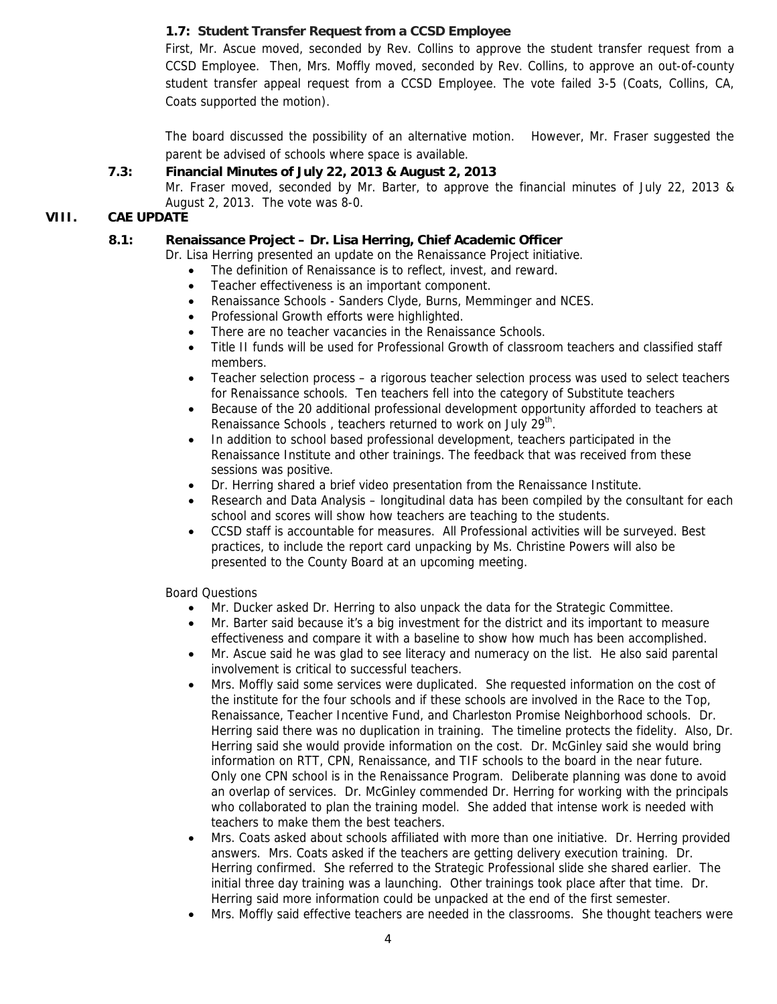# **1.7: Student Transfer Request from a CCSD Employee**

First, Mr. Ascue moved, seconded by Rev. Collins to approve the student transfer request from a CCSD Employee. Then, Mrs. Moffly moved, seconded by Rev. Collins, to approve an out-of-county student transfer appeal request from a CCSD Employee. The vote failed 3-5 (Coats, Collins, CA, Coats supported the motion).

The board discussed the possibility of an alternative motion. However, Mr. Fraser suggested the parent be advised of schools where space is available.

#### **7.3: Financial Minutes of July 22, 2013 & August 2, 2013**

Mr. Fraser moved, seconded by Mr. Barter, to approve the financial minutes of July 22, 2013 & August 2, 2013. The vote was 8-0.

#### **VIII. CAE UPDATE**

#### **8.1: Renaissance Project – Dr. Lisa Herring, Chief Academic Officer**

Dr. Lisa Herring presented an update on the Renaissance Project initiative.

- The definition of Renaissance is to reflect, invest, and reward.
- Teacher effectiveness is an important component.
- Renaissance Schools Sanders Clyde, Burns, Memminger and NCES.
- Professional Growth efforts were highlighted.
- There are no teacher vacancies in the Renaissance Schools.
- Title II funds will be used for Professional Growth of classroom teachers and classified staff members.
- Teacher selection process a rigorous teacher selection process was used to select teachers for Renaissance schools. Ten teachers fell into the category of Substitute teachers
- Because of the 20 additional professional development opportunity afforded to teachers at Renaissance Schools, teachers returned to work on July 29<sup>th</sup>.
- In addition to school based professional development, teachers participated in the Renaissance Institute and other trainings. The feedback that was received from these sessions was positive.
- Dr. Herring shared a brief video presentation from the Renaissance Institute.
- Research and Data Analysis longitudinal data has been compiled by the consultant for each school and scores will show how teachers are teaching to the students.
- CCSD staff is accountable for measures. All Professional activities will be surveyed. Best practices, to include the report card unpacking by Ms. Christine Powers will also be presented to the County Board at an upcoming meeting.

Board Questions

- Mr. Ducker asked Dr. Herring to also unpack the data for the Strategic Committee.
- Mr. Barter said because it's a big investment for the district and its important to measure effectiveness and compare it with a baseline to show how much has been accomplished.
- Mr. Ascue said he was glad to see literacy and numeracy on the list. He also said parental involvement is critical to successful teachers.
- Mrs. Moffly said some services were duplicated. She requested information on the cost of the institute for the four schools and if these schools are involved in the Race to the Top, Renaissance, Teacher Incentive Fund, and Charleston Promise Neighborhood schools. Dr. Herring said there was no duplication in training. The timeline protects the fidelity. Also, Dr. Herring said she would provide information on the cost. Dr. McGinley said she would bring information on RTT, CPN, Renaissance, and TIF schools to the board in the near future. Only one CPN school is in the Renaissance Program. Deliberate planning was done to avoid an overlap of services. Dr. McGinley commended Dr. Herring for working with the principals who collaborated to plan the training model. She added that intense work is needed with teachers to make them the best teachers.
- Mrs. Coats asked about schools affiliated with more than one initiative. Dr. Herring provided answers. Mrs. Coats asked if the teachers are getting delivery execution training. Dr. Herring confirmed. She referred to the Strategic Professional slide she shared earlier. The initial three day training was a launching. Other trainings took place after that time. Dr. Herring said more information could be unpacked at the end of the first semester.
- Mrs. Moffly said effective teachers are needed in the classrooms. She thought teachers were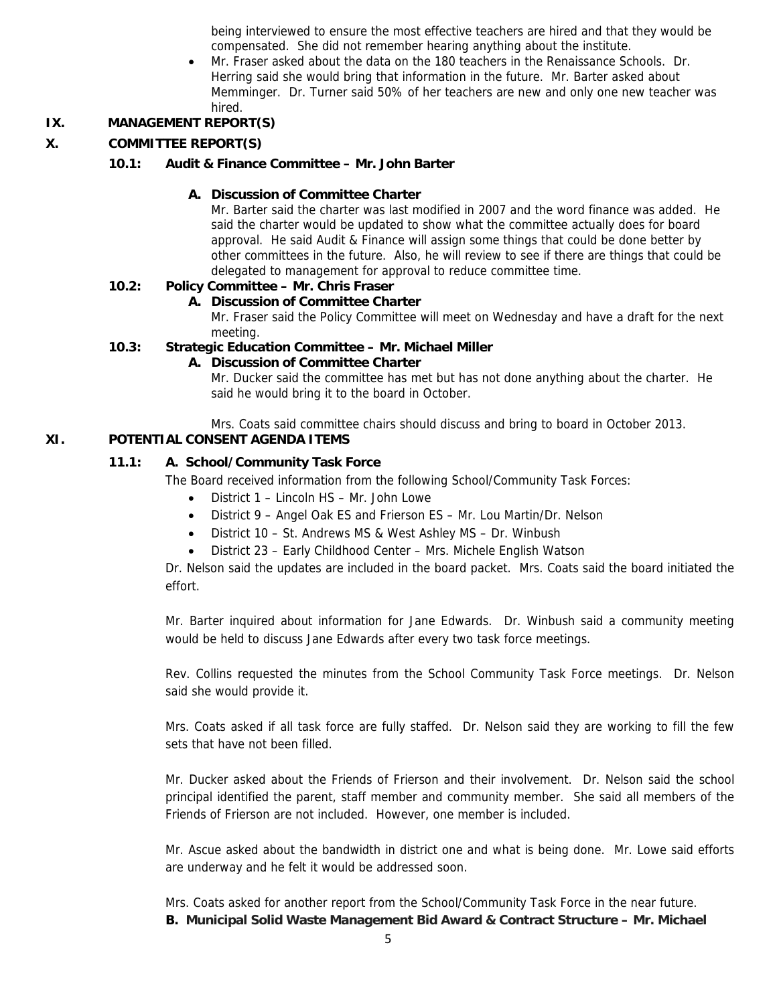being interviewed to ensure the most effective teachers are hired and that they would be compensated. She did not remember hearing anything about the institute.

• Mr. Fraser asked about the data on the 180 teachers in the Renaissance Schools. Dr. Herring said she would bring that information in the future. Mr. Barter asked about Memminger. Dr. Turner said 50% of her teachers are new and only one new teacher was hired.

# **IX. MANAGEMENT REPORT(S)**

# **X. COMMITTEE REPORT(S)**

#### **10.1: Audit & Finance Committee – Mr. John Barter**

#### **A. Discussion of Committee Charter**

Mr. Barter said the charter was last modified in 2007 and the word finance was added. He said the charter would be updated to show what the committee actually does for board approval. He said Audit & Finance will assign some things that could be done better by other committees in the future. Also, he will review to see if there are things that could be delegated to management for approval to reduce committee time.

# **10.2: Policy Committee – Mr. Chris Fraser**

#### **A. Discussion of Committee Charter**

Mr. Fraser said the Policy Committee will meet on Wednesday and have a draft for the next meeting.

#### **10.3: Strategic Education Committee – Mr. Michael Miller**

#### **A. Discussion of Committee Charter**

Mr. Ducker said the committee has met but has not done anything about the charter. He said he would bring it to the board in October.

Mrs. Coats said committee chairs should discuss and bring to board in October 2013.

# **XI. POTENTIAL CONSENT AGENDA ITEMS**

#### **11.1: A. School/Community Task Force**

The Board received information from the following School/Community Task Forces:

- District 1 Lincoln HS Mr. John Lowe
- District 9 Angel Oak ES and Frierson ES Mr. Lou Martin/Dr. Nelson
- District 10 St. Andrews MS & West Ashley MS Dr. Winbush
- District 23 Early Childhood Center Mrs. Michele English Watson

Dr. Nelson said the updates are included in the board packet. Mrs. Coats said the board initiated the effort.

Mr. Barter inquired about information for Jane Edwards. Dr. Winbush said a community meeting would be held to discuss Jane Edwards after every two task force meetings.

Rev. Collins requested the minutes from the School Community Task Force meetings. Dr. Nelson said she would provide it.

Mrs. Coats asked if all task force are fully staffed. Dr. Nelson said they are working to fill the few sets that have not been filled.

Mr. Ducker asked about the Friends of Frierson and their involvement. Dr. Nelson said the school principal identified the parent, staff member and community member. She said all members of the Friends of Frierson are not included. However, one member is included.

Mr. Ascue asked about the bandwidth in district one and what is being done. Mr. Lowe said efforts are underway and he felt it would be addressed soon.

Mrs. Coats asked for another report from the School/Community Task Force in the near future. **B. Municipal Solid Waste Management Bid Award & Contract Structure – Mr. Michael**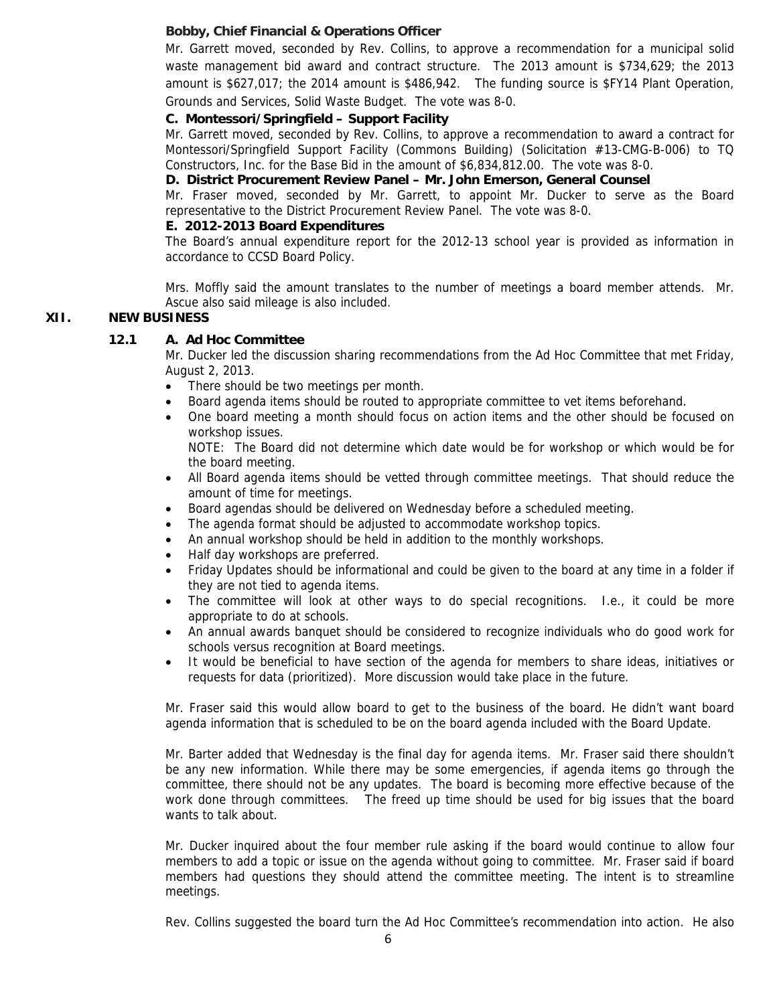### **Bobby, Chief Financial & Operations Officer**

Mr. Garrett moved, seconded by Rev. Collins, to approve a recommendation for a municipal solid waste management bid award and contract structure. The 2013 amount is \$734,629; the 2013 amount is \$627,017; the 2014 amount is \$486,942. The funding source is \$FY14 Plant Operation, Grounds and Services, Solid Waste Budget. The vote was 8-0.

#### **C. Montessori/Springfield – Support Facility**

Mr. Garrett moved, seconded by Rev. Collins, to approve a recommendation to award a contract for Montessori/Springfield Support Facility (Commons Building) (Solicitation #13-CMG-B-006) to TQ Constructors, Inc. for the Base Bid in the amount of \$6,834,812.00. The vote was 8-0.

#### **D. District Procurement Review Panel – Mr. John Emerson, General Counsel**

Mr. Fraser moved, seconded by Mr. Garrett, to appoint Mr. Ducker to serve as the Board representative to the District Procurement Review Panel. The vote was 8-0.

#### **E. 2012-2013 Board Expenditures**

The Board's annual expenditure report for the 2012-13 school year is provided as information in accordance to CCSD Board Policy.

Mrs. Moffly said the amount translates to the number of meetings a board member attends. Mr. Ascue also said mileage is also included.

### **XII. NEW BUSINESS**

#### **12.1 A. Ad Hoc Committee**

Mr. Ducker led the discussion sharing recommendations from the Ad Hoc Committee that met Friday, August 2, 2013.

- There should be two meetings per month.
- Board agenda items should be routed to appropriate committee to vet items beforehand.
- One board meeting a month should focus on action items and the other should be focused on workshop issues.

NOTE: The Board did not determine which date would be for workshop or which would be for the board meeting.

- All Board agenda items should be vetted through committee meetings. That should reduce the amount of time for meetings.
- Board agendas should be delivered on Wednesday before a scheduled meeting.
- The agenda format should be adjusted to accommodate workshop topics.
- An annual workshop should be held in addition to the monthly workshops.
- Half day workshops are preferred.
- Friday Updates should be informational and could be given to the board at any time in a folder if they are not tied to agenda items.
- The committee will look at other ways to do special recognitions. I.e., it could be more appropriate to do at schools.
- An annual awards banquet should be considered to recognize individuals who do good work for schools versus recognition at Board meetings.
- It would be beneficial to have section of the agenda for members to share ideas, initiatives or requests for data (prioritized). More discussion would take place in the future.

Mr. Fraser said this would allow board to get to the business of the board. He didn't want board agenda information that is scheduled to be on the board agenda included with the Board Update.

Mr. Barter added that Wednesday is the final day for agenda items. Mr. Fraser said there shouldn't be any new information. While there may be some emergencies, if agenda items go through the committee, there should not be any updates. The board is becoming more effective because of the work done through committees. The freed up time should be used for big issues that the board wants to talk about.

Mr. Ducker inquired about the four member rule asking if the board would continue to allow four members to add a topic or issue on the agenda without going to committee. Mr. Fraser said if board members had questions they should attend the committee meeting. The intent is to streamline meetings.

Rev. Collins suggested the board turn the Ad Hoc Committee's recommendation into action. He also